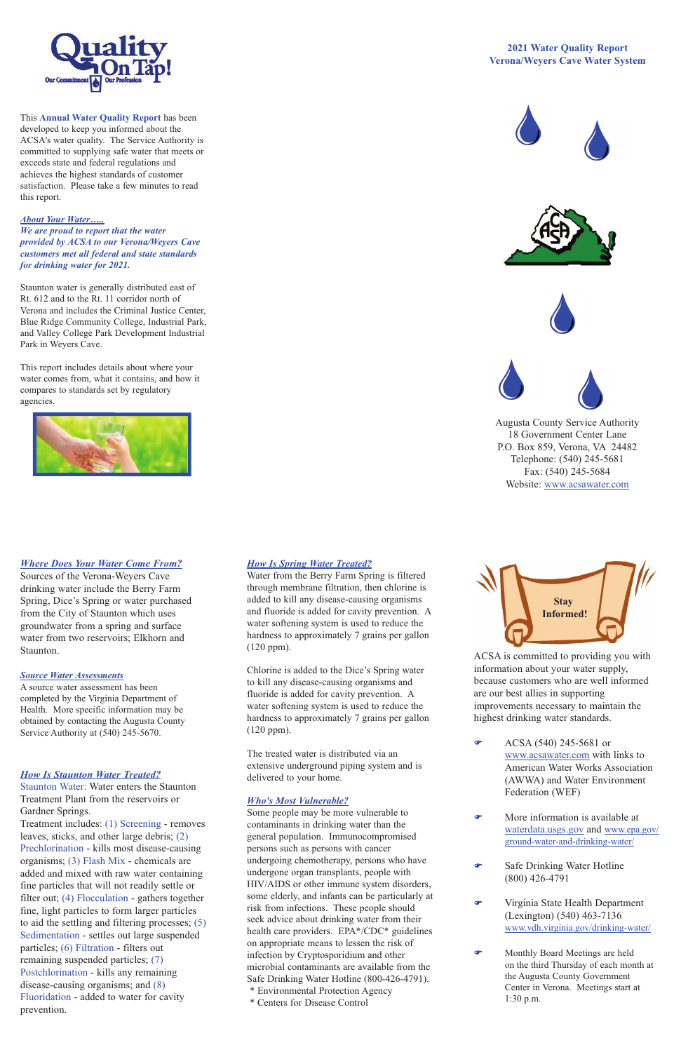## *Where Does Your Water Come From?*

Sources of the Verona-Weyers Cave drinking water include the Berry Farm Spring, Dice's Spring or water purchased from the City of Staunton which uses groundwater from a spring and surface water from two reservoirs; Elkhorn and Staunton.

#### *How Is Staunton Water Treated?*

Staunton Water: Water enters the Staunton Treatment Plant from the reservoirs or Gardner Springs.

Chlorine is added to the Dice's Spring water to kill any disease-causing organisms and fluoride is added for cavity prevention. A water softening system is used to reduce the hardness to approximately 7 grains per gallon  $(120 \text{ ppm})$ .

Treatment includes: (1) Screening - removes leaves, sticks, and other large debris; (2) Prechlorination - kills most disease-causing organisms; (3) Flash Mix - chemicals are added and mixed with raw water containing fine particles that will not readily settle or filter out; (4) Flocculation - gathers together fine, light particles to form larger particles to aid the settling and filtering processes; (5) Sedimentation - settles out large suspended particles; (6) Filtration - filters out remaining suspended particles; (7) Postchlorination - kills any remaining disease-causing organisms; and (8) Fluoridation - added to water for cavity prevention.

# *How Is Spring Water Treated?*

Water from the Berry Farm Spring is filtered through membrane filtration, then chlorine is added to kill any disease-causing organisms and fluoride is added for cavity prevention. A water softening system is used to reduce the hardness to approximately 7 grains per gallon (120 ppm).

> $\bullet$  ACSA (540) 245-5681 or www.acsawater.com with links to American Water Works Association

- More information is available at waterdata.usgs.gov and www.epa.gov/ ground-water-and-drinking-water/
- Safe Drinking Water Hotline (800) 426-4791
- F Virginia State Health Department (Lexington) (540) 463-7136 www.vdh.virginia.gov/drinking-water/
- F Monthly Board Meetings are held on the third Thursday of each month at the Augusta County Government Center in Verona. Meetings start at 1:30 p.m.

The treated water is distributed via an extensive underground piping system and is

delivered to your home.

## *Who's Most Vulnerable?*

Some people may be more vulnerable to contaminants in drinking water than the general population. Immunocompromised persons such as persons with cancer undergoing chemotherapy, persons who have undergone organ transplants, people with HIV/AIDS or other immune system disorders, some elderly, and infants can be particularly at risk from infections. These people should seek advice about drinking water from their health care providers. EPA\*/CDC\* guidelines on appropriate means to lessen the risk of infection by Cryptosporidium and other microbial contaminants are available from the Safe Drinking Water Hotline (800-426-4791). \* Environmental Protection Agency \* Centers for Disease Control

ACSA is committed to providing you with information about your water supply, because customers who are well informed are our best allies in supporting improvements necessary to maintain the highest drinking water standards.

> (AWWA) and Water Environment Federation (WEF)



This **Annual Water Quality Report** has been developed to keep you informed about the ACSA's water quality. The Service Authority is committed to supplying safe water that meets or exceeds state and federal regulations and achieves the highest standards of customer satisfaction. Please take a few minutes to read this report.

## *About Your Water…..*

*We are proud to report that the water provided by ACSA to our Verona/Weyers Cave customers met all federal and state standards for drinking water for 2021.* 

Staunton water is generally distributed east of Rt. 612 and to the Rt. 11 corridor north of Verona and includes the Criminal Justice Center,   Blue Ridge Community College, Industrial Park, and Valley College Park Development Industrial Park in Weyers Cave.

This report includes details about where your water comes from, what it contains, and how it compares to standards set by regulatory agencies.



# **2021 Water Quality Report Verona/Weyers Cave Water System**









Augusta County Service Authority 18 Government Center Lane P.O. Box 859, Verona, VA 24482 Telephone: (540) 245-5681 Fax: (540) 245-5684 Website: www.acsawater.com



#### *Source Water Assessments*

A source water assessment has been completed by the Virginia Department of Health. More specific information may be obtained by contacting the Augusta County Service Authority at (540) 245-5670.